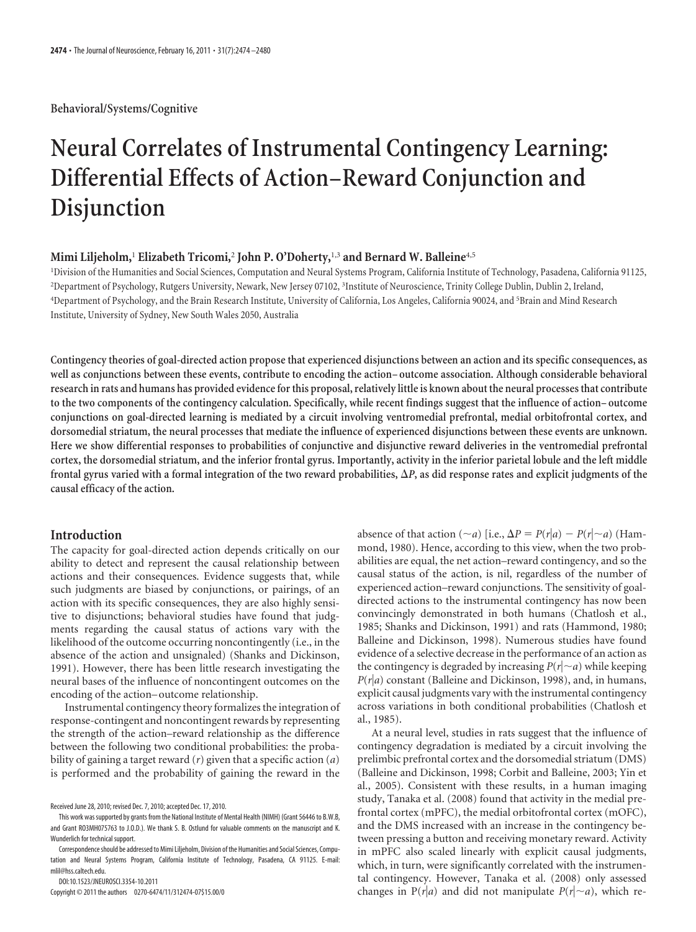**Behavioral/Systems/Cognitive**

# **Neural Correlates of Instrumental Contingency Learning: Differential Effects of Action–Reward Conjunction and Disjunction**

## **Mimi Liljeholm,**<sup>1</sup> **Elizabeth Tricomi,**<sup>2</sup> **John P. O'Doherty,**1,3 **and Bernard W. Balleine**4,5

 Division of the Humanities and Social Sciences, Computation and Neural Systems Program, California Institute of Technology, Pasadena, California 91125, Department of Psychology, Rutgers University, Newark, New Jersey 07102, <sup>3</sup> Institute of Neuroscience, Trinity College Dublin, Dublin 2, Ireland, Department of Psychology, and the Brain Research Institute, University of California, Los Angeles, California 90024, and <sup>5</sup> Brain and Mind Research Institute, University of Sydney, New South Wales 2050, Australia

**Contingency theories of goal-directed action propose that experienced disjunctions between an action and its specific consequences, as well as conjunctions between these events, contribute to encoding the action– outcome association. Although considerable behavioral research in rats and humans has provided evidence for this proposal, relatively little is known about the neural processes that contribute to the two components of the contingency calculation. Specifically, while recent findings suggest that the influence of action– outcome conjunctions on goal-directed learning is mediated by a circuit involving ventromedial prefrontal, medial orbitofrontal cortex, and dorsomedial striatum, the neural processes that mediate the influence of experienced disjunctions between these events are unknown. Here we show differential responses to probabilities of conjunctive and disjunctive reward deliveries in the ventromedial prefrontal cortex, the dorsomedial striatum, and the inferior frontal gyrus. Importantly, activity in the inferior parietal lobule and the left middle frontal gyrus varied with a formal integration of the two reward probabilities,** *P***, as did response rates and explicit judgments of the causal efficacy of the action.**

# **Introduction**

The capacity for goal-directed action depends critically on our ability to detect and represent the causal relationship between actions and their consequences. Evidence suggests that, while such judgments are biased by conjunctions, or pairings, of an action with its specific consequences, they are also highly sensitive to disjunctions; behavioral studies have found that judgments regarding the causal status of actions vary with the likelihood of the outcome occurring noncontingently (i.e., in the absence of the action and unsignaled) (Shanks and Dickinson, 1991). However, there has been little research investigating the neural bases of the influence of noncontingent outcomes on the encoding of the action– outcome relationship.

Instrumental contingency theory formalizes the integration of response-contingent and noncontingent rewards by representing the strength of the action–reward relationship as the difference between the following two conditional probabilities: the probability of gaining a target reward (*r*) given that a specific action (*a*) is performed and the probability of gaining the reward in the

DOI:10.1523/JNEUROSCI.3354-10.2011

Copyright © 2011 the authors 0270-6474/11/312474-07\$15.00/0

absence of that action  $(\sim a)$  [i.e.,  $\Delta P = P(r|a) - P(r|\sim a)$  (Hammond, 1980). Hence, according to this view, when the two probabilities are equal, the net action–reward contingency, and so the causal status of the action, is nil, regardless of the number of experienced action–reward conjunctions. The sensitivity of goaldirected actions to the instrumental contingency has now been convincingly demonstrated in both humans (Chatlosh et al., 1985; Shanks and Dickinson, 1991) and rats (Hammond, 1980; Balleine and Dickinson, 1998). Numerous studies have found evidence of a selective decrease in the performance of an action as the contingency is degraded by increasing  $P(r|\!\sim\! a)$  while keeping *P*(*ra*) constant (Balleine and Dickinson, 1998), and, in humans, explicit causal judgments vary with the instrumental contingency across variations in both conditional probabilities (Chatlosh et al., 1985).

At a neural level, studies in rats suggest that the influence of contingency degradation is mediated by a circuit involving the prelimbic prefrontal cortex and the dorsomedial striatum (DMS) (Balleine and Dickinson, 1998; Corbit and Balleine, 2003; Yin et al., 2005). Consistent with these results, in a human imaging study, Tanaka et al. (2008) found that activity in the medial prefrontal cortex (mPFC), the medial orbitofrontal cortex (mOFC), and the DMS increased with an increase in the contingency between pressing a button and receiving monetary reward. Activity in mPFC also scaled linearly with explicit causal judgments, which, in turn, were significantly correlated with the instrumental contingency. However, Tanaka et al. (2008) only assessed changes in  $P(r|a)$  and did not manipulate  $P(r|\sim a)$ , which re-

Received June 28, 2010; revised Dec. 7, 2010; accepted Dec. 17, 2010.

This work was supported by grants from the National Institute of Mental Health (NIMH) (Grant 56446 to B.W.B, and Grant RO3MH075763 to J.O.D.). We thank S. B. Ostlund for valuable comments on the manuscript and K. Wunderlich for technical support.

Correspondence should be addressed to Mimi Liljeholm, Division of the Humanities and Social Sciences, Computation and Neural Systems Program, California Institute of Technology, Pasadena, CA 91125. E-mail: mlil@hss.caltech.edu.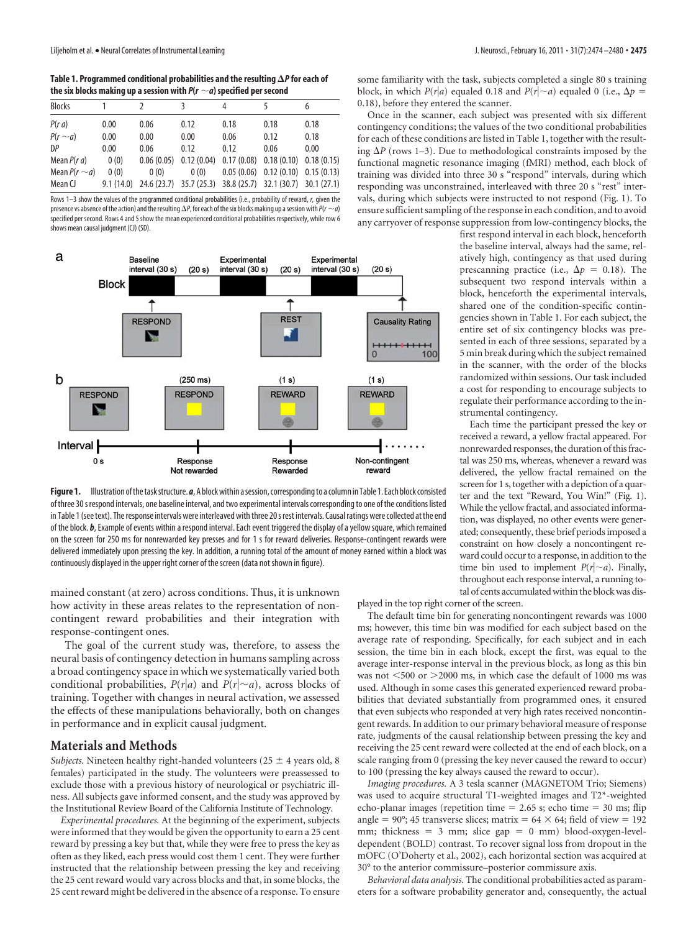Table 1. Programmed conditional probabilities and the resulting  $\Delta P$  for each of the six blocks making up a session with  $P$ ( $r \sim$ a) specified per second

| <b>Blocks</b>      |      |                                                                        | ς                                                                | 4    |                                        | 6    |
|--------------------|------|------------------------------------------------------------------------|------------------------------------------------------------------|------|----------------------------------------|------|
| P(r a)             | 0.00 | 0.06                                                                   | 0.12                                                             | 0.18 | 0.18                                   | 0.18 |
| $P(r \sim a)$      | 0.00 | 0.00                                                                   | 0.00                                                             | 0.06 | 0.12                                   | 0.18 |
| DP                 | 0.00 | 0.06                                                                   | 0.12                                                             | 0.12 | 0.06                                   | 0.00 |
| Mean $P(r a)$      | 0(0) |                                                                        | $0.06(0.05)$ $0.12(0.04)$ $0.17(0.08)$ $0.18(0.10)$ $0.18(0.15)$ |      |                                        |      |
| Mean $P(r \sim a)$ | 0(0) | 0(0)                                                                   | 0(0)                                                             |      | $0.05(0.06)$ $0.12(0.10)$ $0.15(0.13)$ |      |
| Mean CJ            |      | 9.1 (14.0) 24.6 (23.7) 35.7 (25.3) 38.8 (25.7) 32.1 (30.7) 30.1 (27.1) |                                                                  |      |                                        |      |

Rows 1–3 show the values of the programmed conditional probabilities (i.e., probability of reward, *r,* given the presence vs absence of the action) and the resulting  $\Delta P$ , for each of the six blocks making up a session with  $P(r \sim a)$ specified per second. Rows 4 and 5 show the mean experienced conditional probabilities respectively, while row 6 shows mean causal judgment (CJ) (SD).



Figure 1. Illustration of the task structure. *a*, A block within a session, corresponding to a column in Table 1. Each block consisted of three 30s respond intervals, one baseline interval, and two experimental intervals corresponding to one of the conditions listed in Table 1 (see text). The response intervals were interleaved with three 20 s rest intervals. Causal ratings were collected at the end of the block. *b*, Example of events within a respond interval. Each event triggered the display of a yellow square, which remained on the screen for 250 ms for nonrewarded key presses and for 1 s for reward deliveries. Response-contingent rewards were delivered immediately upon pressing the key. In addition, a running total of the amount of money earned within a block was continuously displayed in the upper right corner of the screen (data not shown in figure).

mained constant (at zero) across conditions. Thus, it is unknown how activity in these areas relates to the representation of noncontingent reward probabilities and their integration with response-contingent ones.

The goal of the current study was, therefore, to assess the neural basis of contingency detection in humans sampling across a broad contingency space in which we systematically varied both conditional probabilities,  $P(r|a)$  and  $P(r|\sim a)$ , across blocks of training. Together with changes in neural activation, we assessed the effects of these manipulations behaviorally, both on changes in performance and in explicit causal judgment.

## **Materials and Methods**

*Subjects.* Nineteen healthy right-handed volunteers ( $25 \pm 4$  years old, 8) females) participated in the study. The volunteers were preassessed to exclude those with a previous history of neurological or psychiatric illness. All subjects gave informed consent, and the study was approved by the Institutional Review Board of the California Institute of Technology.

*Experimental procedures.* At the beginning of the experiment, subjects were informed that they would be given the opportunity to earn a 25 cent reward by pressing a key but that, while they were free to press the key as often as they liked, each press would cost them 1 cent. They were further instructed that the relationship between pressing the key and receiving the 25 cent reward would vary across blocks and that, in some blocks, the 25 cent reward might be delivered in the absence of a response. To ensure some familiarity with the task, subjects completed a single 80 s training block, in which  $P(r|a)$  equaled 0.18 and  $P(r|\sim a)$  equaled 0 (i.e.,  $\Delta p =$ 0.18), before they entered the scanner.

Once in the scanner, each subject was presented with six different contingency conditions; the values of the two conditional probabilities for each of these conditions are listed in Table 1, together with the resulting  $\Delta P$  (rows 1–3). Due to methodological constraints imposed by the functional magnetic resonance imaging (fMRI) method, each block of training was divided into three 30 s "respond" intervals, during which responding was unconstrained, interleaved with three 20 s "rest" intervals, during which subjects were instructed to not respond (Fig. 1). To ensure sufficient sampling of the response in each condition, and to avoid any carryover of response suppression from low-contingency blocks, the

first respond interval in each block, henceforth the baseline interval, always had the same, relatively high, contingency as that used during prescanning practice (i.e.,  $\Delta p = 0.18$ ). The subsequent two respond intervals within a block, henceforth the experimental intervals, shared one of the condition-specific contingencies shown in Table 1. For each subject, the entire set of six contingency blocks was presented in each of three sessions, separated by a 5 min break during which the subject remained in the scanner, with the order of the blocks randomized within sessions. Our task included a cost for responding to encourage subjects to regulate their performance according to the instrumental contingency.

Each time the participant pressed the key or received a reward, a yellow fractal appeared. For nonrewarded responses, the duration of this fractal was 250 ms, whereas, whenever a reward was delivered, the yellow fractal remained on the screen for 1 s, together with a depiction of a quarter and the text "Reward, You Win!" (Fig. 1). While the yellow fractal, and associated information, was displayed, no other events were generated; consequently, these brief periods imposed a constraint on how closely a noncontingent reward could occur to a response, in addition to the time bin used to implement  $P(r|\sim a)$ . Finally, throughout each response interval, a running total of cents accumulated within the block was dis-

played in the top right corner of the screen.

The default time bin for generating noncontingent rewards was 1000 ms; however, this time bin was modified for each subject based on the average rate of responding. Specifically, for each subject and in each session, the time bin in each block, except the first, was equal to the average inter-response interval in the previous block, as long as this bin was not 500 or 2000 ms, in which case the default of 1000 ms was used. Although in some cases this generated experienced reward probabilities that deviated substantially from programmed ones, it ensured that even subjects who responded at very high rates received noncontingent rewards. In addition to our primary behavioral measure of response rate, judgments of the causal relationship between pressing the key and receiving the 25 cent reward were collected at the end of each block, on a scale ranging from 0 (pressing the key never caused the reward to occur) to 100 (pressing the key always caused the reward to occur).

*Imaging procedures.* A 3 tesla scanner (MAGNETOM Trio; Siemens) was used to acquire structural T1-weighted images and T2\*-weighted echo-planar images (repetition time  $= 2.65$  s; echo time  $= 30$  ms; flip angle = 90°; 45 transverse slices; matrix =  $64 \times 64$ ; field of view = 192 mm; thickness =  $3$  mm; slice gap =  $0$  mm) blood-oxygen-leveldependent (BOLD) contrast. To recover signal loss from dropout in the mOFC (O'Doherty et al., 2002), each horizontal section was acquired at 30° to the anterior commissure–posterior commissure axis.

*Behavioral data analysis.* The conditional probabilities acted as parameters for a software probability generator and, consequently, the actual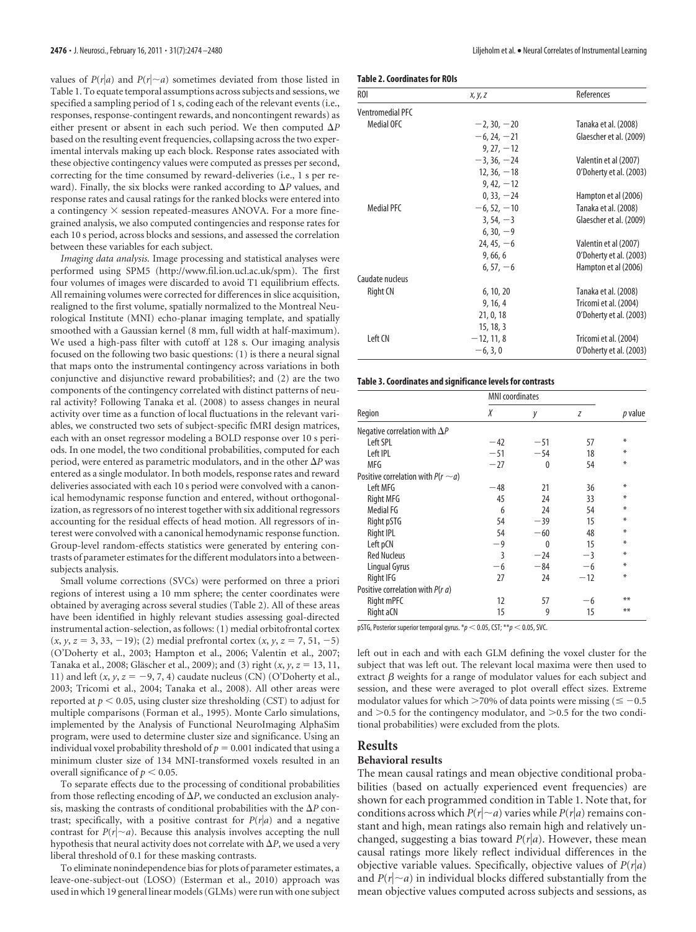values of  $P(r|a)$  and  $P(r|\sim a)$  sometimes deviated from those listed in Table 1. To equate temporal assumptions across subjects and sessions, we specified a sampling period of 1 s, coding each of the relevant events (i.e., responses, response-contingent rewards, and noncontingent rewards) as either present or absent in each such period. We then computed  $\Delta P$ based on the resulting event frequencies, collapsing across the two experimental intervals making up each block. Response rates associated with these objective contingency values were computed as presses per second, correcting for the time consumed by reward-deliveries (i.e., 1 s per reward). Finally, the six blocks were ranked according to  $\Delta P$  values, and response rates and causal ratings for the ranked blocks were entered into a contingency  $\times$  session repeated-measures ANOVA. For a more finegrained analysis, we also computed contingencies and response rates for each 10 s period, across blocks and sessions, and assessed the correlation between these variables for each subject.

*Imaging data analysis.* Image processing and statistical analyses were performed using SPM5 (http://www.fil.ion.ucl.ac.uk/spm). The first four volumes of images were discarded to avoid T1 equilibrium effects. All remaining volumes were corrected for differences in slice acquisition, realigned to the first volume, spatially normalized to the Montreal Neurological Institute (MNI) echo-planar imaging template, and spatially smoothed with a Gaussian kernel (8 mm, full width at half-maximum). We used a high-pass filter with cutoff at 128 s. Our imaging analysis focused on the following two basic questions: (1) is there a neural signal that maps onto the instrumental contingency across variations in both conjunctive and disjunctive reward probabilities?; and (2) are the two components of the contingency correlated with distinct patterns of neural activity? Following Tanaka et al. (2008) to assess changes in neural activity over time as a function of local fluctuations in the relevant variables, we constructed two sets of subject-specific fMRI design matrices, each with an onset regressor modeling a BOLD response over 10 s periods. In one model, the two conditional probabilities, computed for each period, were entered as parametric modulators, and in the other  $\Delta P$  was entered as a single modulator. In both models, response rates and reward deliveries associated with each 10 s period were convolved with a canonical hemodynamic response function and entered, without orthogonalization, as regressors of no interest together with six additional regressors accounting for the residual effects of head motion. All regressors of interest were convolved with a canonical hemodynamic response function. Group-level random-effects statistics were generated by entering contrasts of parameter estimates for the different modulators into a betweensubjects analysis.

Small volume corrections (SVCs) were performed on three a priori regions of interest using a 10 mm sphere; the center coordinates were obtained by averaging across several studies (Table 2). All of these areas have been identified in highly relevant studies assessing goal-directed instrumental action-selection, as follows: (1) medial orbitofrontal cortex  $(x, y, z = 3, 33, -19)$ ; (2) medial prefrontal cortex  $(x, y, z = 7, 51, -5)$ (O'Doherty et al., 2003; Hampton et al., 2006; Valentin et al., 2007; Tanaka et al., 2008; Gläscher et al., 2009); and (3) right (*x*, *y*, *z* = 13, 11, 11) and left  $(x, y, z = -9, 7, 4)$  caudate nucleus  $(CN)$   $(O'Doherty et al.,$ 2003; Tricomi et al., 2004; Tanaka et al., 2008). All other areas were reported at  $p < 0.05$ , using cluster size thresholding (CST) to adjust for multiple comparisons (Forman et al., 1995). Monte Carlo simulations, implemented by the Analysis of Functional NeuroImaging AlphaSim program, were used to determine cluster size and significance. Using an individual voxel probability threshold of  $p = 0.001$  indicated that using a minimum cluster size of 134 MNI-transformed voxels resulted in an overall significance of  $p < 0.05$ .

To separate effects due to the processing of conditional probabilities from those reflecting encoding of  $\Delta P$ , we conducted an exclusion analysis, masking the contrasts of conditional probabilities with the  $\Delta P$  contrast; specifically, with a positive contrast for  $P(r|a)$  and a negative contrast for  $P(r|\sim a)$ . Because this analysis involves accepting the null hypothesis that neural activity does not correlate with  $\Delta P$ , we used a very liberal threshold of 0.1 for these masking contrasts.

To eliminate nonindependence bias for plots of parameter estimates, a leave-one-subject-out (LOSO) (Esterman et al., 2010) approach was used in which 19 general linear models (GLMs) were run with one subject

|  | Table 2. Coordinates for ROIs |  |  |
|--|-------------------------------|--|--|
|--|-------------------------------|--|--|

| <b>ROI</b>        | <i>x</i> , y, z | References              |
|-------------------|-----------------|-------------------------|
| Ventromedial PFC  |                 |                         |
| Medial OFC        | $-2, 30, -20$   | Tanaka et al. (2008)    |
|                   | $-6, 24, -21$   | Glaescher et al. (2009) |
|                   | $9.27. -12$     |                         |
|                   | $-3.36, -24$    | Valentin et al (2007)   |
|                   | $12, 36, -18$   | O'Doherty et al. (2003) |
|                   | $9, 42, -12$    |                         |
|                   | $0, 33, -24$    | Hampton et al (2006)    |
| <b>Medial PFC</b> | $-6, 52, -10$   | Tanaka et al. (2008)    |
|                   | $3, 54, -3$     | Glaescher et al. (2009) |
|                   | $6, 30, -9$     |                         |
|                   | $24, 45, -6$    | Valentin et al (2007)   |
|                   | 9,66,6          | O'Doherty et al. (2003) |
|                   | $6.57 - 6$      | Hampton et al (2006)    |
| Caudate nucleus   |                 |                         |
| Right CN          | 6, 10, 20       | Tanaka et al. (2008)    |
|                   | 9, 16, 4        | Tricomi et al. (2004)   |
|                   | 21, 0, 18       | O'Doherty et al. (2003) |
|                   | 15, 18, 3       |                         |
| Left CN           | $-12, 11, 8$    | Tricomi et al. (2004)   |
|                   | $-6, 3, 0$      | O'Doherty et al. (2003) |

#### **Table 3. Coordinates and significance levels for contrasts**

|                                         | <b>MNI</b> coordinates |              |       |         |
|-----------------------------------------|------------------------|--------------|-------|---------|
| Region                                  | Χ                      | у            | Z     | p value |
| Negative correlation with $\Delta P$    |                        |              |       |         |
| Left SPL                                | $-42$                  | $-51$        | 57    | $*$     |
| Left IPL                                | $-51$                  | $-54$        | 18    | $*$     |
| MFG                                     | $-27$                  | $\mathbf{0}$ | 54    | ¥       |
| Positive correlation with $P(r \sim a)$ |                        |              |       |         |
| Left MFG                                | $-48$                  | 21           | 36    | $*$     |
| <b>Right MFG</b>                        | 45                     | 24           | 33    | $*$     |
| <b>Medial FG</b>                        | 6                      | 24           | 54    | $*$     |
| Right pSTG                              | 54                     | $-39$        | 15    | $*$     |
| <b>Right IPL</b>                        | 54                     | $-60$        | 48    | $*$     |
| Left pCN                                | -9                     | $\Omega$     | 15    | ¥       |
| <b>Red Nucleus</b>                      | 3                      | $-24$        | $-3$  | $*$     |
| Lingual Gyrus                           | $-6$                   | $-84$        | $-6$  | ∗       |
| <b>Right IFG</b>                        | 27                     | 24           | $-12$ | $*$     |
| Positive correlation with P(r a)        |                        |              |       |         |
| Right mPFC                              | 12                     | 57           | -6    | $**$    |
| Right aCN                               | 15                     | 9            | 15    | **      |

pSTG, Posterior superior temporal gyrus.  $*p < 0.05$ , CST;  $**p < 0.05$ , SVC.

left out in each and with each GLM defining the voxel cluster for the subject that was left out. The relevant local maxima were then used to extract  $\beta$  weights for a range of modulator values for each subject and session, and these were averaged to plot overall effect sizes. Extreme modulator values for which  $>$  70% of data points were missing ( $\le$   $-$  0.5 and  $>0.5$  for the contingency modulator, and  $>0.5$  for the two conditional probabilities) were excluded from the plots.

## **Results**

### **Behavioral results**

The mean causal ratings and mean objective conditional probabilities (based on actually experienced event frequencies) are shown for each programmed condition in Table 1. Note that, for conditions across which  $P(r|\sim a)$  varies while  $P(r|a)$  remains constant and high, mean ratings also remain high and relatively unchanged, suggesting a bias toward  $P(r|a)$ . However, these mean causal ratings more likely reflect individual differences in the objective variable values. Specifically, objective values of *P*(*ra*) and  $P(r|\sim a)$  in individual blocks differed substantially from the mean objective values computed across subjects and sessions, as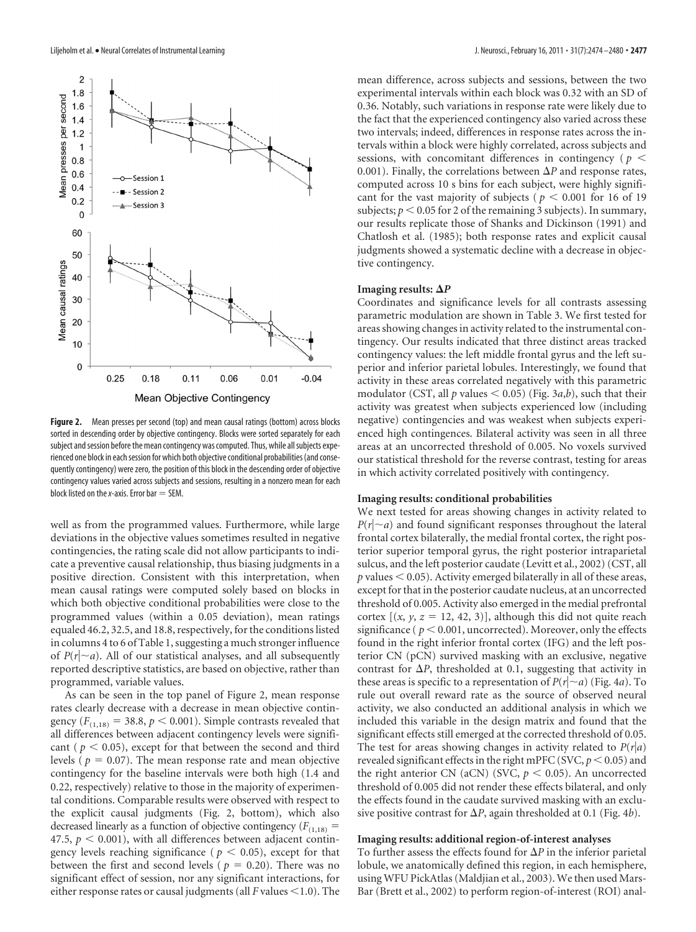

**Figure 2.** Mean presses per second (top) and mean causal ratings (bottom) across blocks sorted in descending order by objective contingency. Blocks were sorted separately for each subject and session before the mean contingency was computed. Thus, while all subjects experienced one block in each session for which both objective conditional probabilities (and consequently contingency) were zero, the position of this block in the descending order of objective contingency values varied across subjects and sessions, resulting in a nonzero mean for each block listed on the *x*-axis. Frror bar  $=$  SFM.

well as from the programmed values. Furthermore, while large deviations in the objective values sometimes resulted in negative contingencies, the rating scale did not allow participants to indicate a preventive causal relationship, thus biasing judgments in a positive direction. Consistent with this interpretation, when mean causal ratings were computed solely based on blocks in which both objective conditional probabilities were close to the programmed values (within a 0.05 deviation), mean ratings equaled 46.2, 32.5, and 18.8, respectively, for the conditions listed in columns 4 to 6 of Table 1, suggesting a much stronger influence of  $P(r|\sim a)$ . All of our statistical analyses, and all subsequently reported descriptive statistics, are based on objective, rather than programmed, variable values.

As can be seen in the top panel of Figure 2, mean response rates clearly decrease with a decrease in mean objective contingency ( $F_{(1,18)} = 38.8$ ,  $p < 0.001$ ). Simple contrasts revealed that all differences between adjacent contingency levels were significant ( $p < 0.05$ ), except for that between the second and third levels ( $p = 0.07$ ). The mean response rate and mean objective contingency for the baseline intervals were both high (1.4 and 0.22, respectively) relative to those in the majority of experimental conditions. Comparable results were observed with respect to the explicit causal judgments (Fig. 2, bottom), which also decreased linearly as a function of objective contingency  $(F_{(1,18)})$ 47.5,  $p < 0.001$ ), with all differences between adjacent contingency levels reaching significance ( $p < 0.05$ ), except for that between the first and second levels ( $p = 0.20$ ). There was no significant effect of session, nor any significant interactions, for either response rates or causal judgments (all  $F$  values  $\leq 1.0$ ). The mean difference, across subjects and sessions, between the two experimental intervals within each block was 0.32 with an SD of 0.36. Notably, such variations in response rate were likely due to the fact that the experienced contingency also varied across these two intervals; indeed, differences in response rates across the intervals within a block were highly correlated, across subjects and sessions, with concomitant differences in contingency ( $p <$ 0.001). Finally, the correlations between  $\Delta P$  and response rates, computed across 10 s bins for each subject, were highly significant for the vast majority of subjects ( $p < 0.001$  for 16 of 19 subjects;  $p < 0.05$  for 2 of the remaining 3 subjects). In summary, our results replicate those of Shanks and Dickinson (1991) and Chatlosh et al. (1985); both response rates and explicit causal judgments showed a systematic decline with a decrease in objective contingency.

#### **Imaging results:**  $\Delta P$

Coordinates and significance levels for all contrasts assessing parametric modulation are shown in Table 3. We first tested for areas showing changes in activity related to the instrumental contingency. Our results indicated that three distinct areas tracked contingency values: the left middle frontal gyrus and the left superior and inferior parietal lobules. Interestingly, we found that activity in these areas correlated negatively with this parametric modulator (CST, all  $p$  values  $\leq$  0.05) (Fig. 3*a*,*b*), such that their activity was greatest when subjects experienced low (including negative) contingencies and was weakest when subjects experienced high contingences. Bilateral activity was seen in all three areas at an uncorrected threshold of 0.005. No voxels survived our statistical threshold for the reverse contrast, testing for areas in which activity correlated positively with contingency.

#### **Imaging results: conditional probabilities**

We next tested for areas showing changes in activity related to  $P(r|\sim a)$  and found significant responses throughout the lateral frontal cortex bilaterally, the medial frontal cortex, the right posterior superior temporal gyrus, the right posterior intraparietal sulcus, and the left posterior caudate (Levitt et al., 2002) (CST, all  $p$  values  $\leq 0.05$ ). Activity emerged bilaterally in all of these areas, except for that in the posterior caudate nucleus, at an uncorrected threshold of 0.005. Activity also emerged in the medial prefrontal cortex  $[(x, y, z = 12, 42, 3)]$ , although this did not quite reach significance ( $p < 0.001$ , uncorrected). Moreover, only the effects found in the right inferior frontal cortex (IFG) and the left posterior CN (pCN) survived masking with an exclusive, negative contrast for  $\Delta P$ , thresholded at 0.1, suggesting that activity in these areas is specific to a representation of  $P(r|\!\!\sim\! a)$  (Fig. 4*a*). To rule out overall reward rate as the source of observed neural activity, we also conducted an additional analysis in which we included this variable in the design matrix and found that the significant effects still emerged at the corrected threshold of 0.05. The test for areas showing changes in activity related to  $P(r|a)$ revealed significant effects in the right mPFC (SVC,  $p < 0.05$ ) and the right anterior CN (aCN) (SVC,  $p < 0.05$ ). An uncorrected threshold of 0.005 did not render these effects bilateral, and only the effects found in the caudate survived masking with an exclusive positive contrast for  $\Delta P$ , again thresholded at 0.1 (Fig. 4*b*).

#### **Imaging results: additional region-of-interest analyses**

To further assess the effects found for  $\Delta P$  in the inferior parietal lobule, we anatomically defined this region, in each hemisphere, using WFU PickAtlas (Maldjian et al., 2003). We then used Mars-Bar (Brett et al., 2002) to perform region-of-interest (ROI) anal-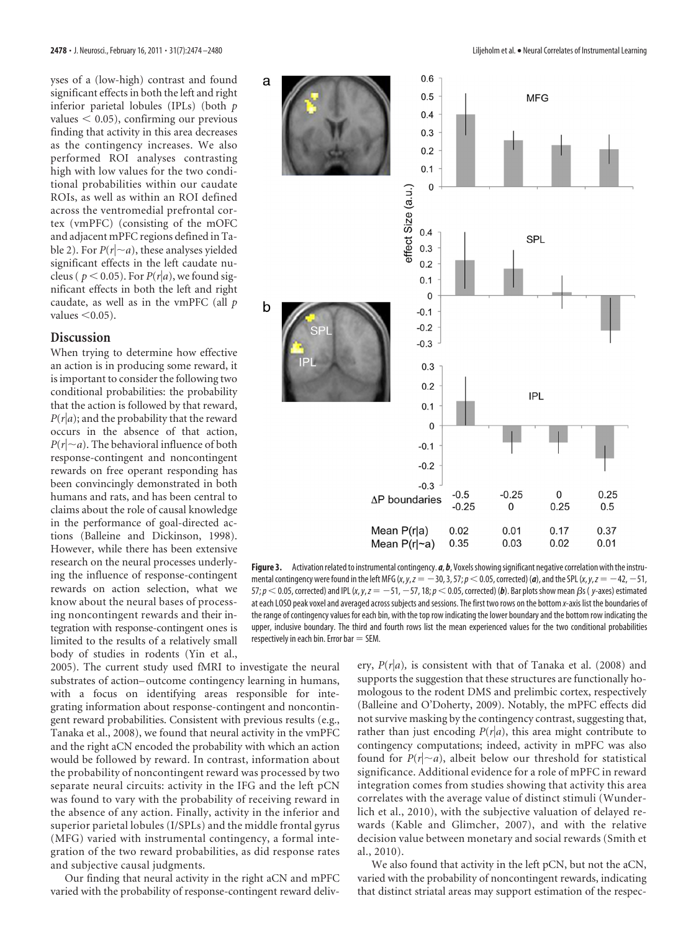yses of a (low-high) contrast and found significant effects in both the left and right inferior parietal lobules (IPLs) (both *p* values  $< 0.05$ ), confirming our previous finding that activity in this area decreases as the contingency increases. We also performed ROI analyses contrasting high with low values for the two conditional probabilities within our caudate ROIs, as well as within an ROI defined across the ventromedial prefrontal cortex (vmPFC) (consisting of the mOFC and adjacent mPFC regions defined in Table 2). For  $P(r|\sim a)$ , these analyses yielded significant effects in the left caudate nucleus ( $p < 0.05$ ). For  $P(r|a)$ , we found significant effects in both the left and right caudate, as well as in the vmPFC (all *p* values  $\leq 0.05$ ).

## **Discussion**

When trying to determine how effective an action is in producing some reward, it is important to consider the following two conditional probabilities: the probability that the action is followed by that reward,  $P(r|a)$ ; and the probability that the reward occurs in the absence of that action,  $P(r|\sim a)$ . The behavioral influence of both response-contingent and noncontingent rewards on free operant responding has been convincingly demonstrated in both humans and rats, and has been central to claims about the role of causal knowledge in the performance of goal-directed actions (Balleine and Dickinson, 1998). However, while there has been extensive research on the neural processes underlying the influence of response-contingent rewards on action selection, what we know about the neural bases of processing noncontingent rewards and their integration with response-contingent ones is limited to the results of a relatively small body of studies in rodents (Yin et al.,

2005). The current study used fMRI to investigate the neural substrates of action– outcome contingency learning in humans, with a focus on identifying areas responsible for integrating information about response-contingent and noncontingent reward probabilities. Consistent with previous results (e.g., Tanaka et al., 2008), we found that neural activity in the vmPFC and the right aCN encoded the probability with which an action would be followed by reward. In contrast, information about the probability of noncontingent reward was processed by two separate neural circuits: activity in the IFG and the left pCN was found to vary with the probability of receiving reward in the absence of any action. Finally, activity in the inferior and superior parietal lobules (I/SPLs) and the middle frontal gyrus (MFG) varied with instrumental contingency, a formal integration of the two reward probabilities, as did response rates and subjective causal judgments.

Our finding that neural activity in the right aCN and mPFC varied with the probability of response-contingent reward deliv-



Figure 3. Activation related to instrumental contingency. *a*, *b*, Voxels showing significant negative correlation with the instrumental contingency were found in the left MFG (*x*, *y*, *z* = -30, 3, 57; *p* < 0.05, corrected) (*a*), and the SPL (*x*, *y*, *z* = -42, -51, 57;  $p$  < 0.05, corrected) and IPL ( $x, y, z = -51, -57, 18; p < 0.05$ , corrected) (**b**). Bar plots show mean  $\beta$ s (  $y$ -axes) estimated at each LOSO peak voxel and averaged across subjects and sessions. The first two rows on the bottom*x*-axis list the boundaries of the range of contingency values for each bin, with the top row indicating the lower boundary and the bottom row indicating the upper, inclusive boundary. The third and fourth rows list the mean experienced values for the two conditional probabilities respectively in each bin. Error bar  $=$  SEM.

ery,  $P(r|a)$ , is consistent with that of Tanaka et al. (2008) and supports the suggestion that these structures are functionally homologous to the rodent DMS and prelimbic cortex, respectively (Balleine and O'Doherty, 2009). Notably, the mPFC effects did not survive masking by the contingency contrast, suggesting that, rather than just encoding  $P(r|a)$ , this area might contribute to contingency computations; indeed, activity in mPFC was also found for  $P(r|\sim a)$ , albeit below our threshold for statistical significance. Additional evidence for a role of mPFC in reward integration comes from studies showing that activity this area correlates with the average value of distinct stimuli (Wunderlich et al., 2010), with the subjective valuation of delayed rewards (Kable and Glimcher, 2007), and with the relative decision value between monetary and social rewards (Smith et al., 2010).

We also found that activity in the left pCN, but not the aCN, varied with the probability of noncontingent rewards, indicating that distinct striatal areas may support estimation of the respec-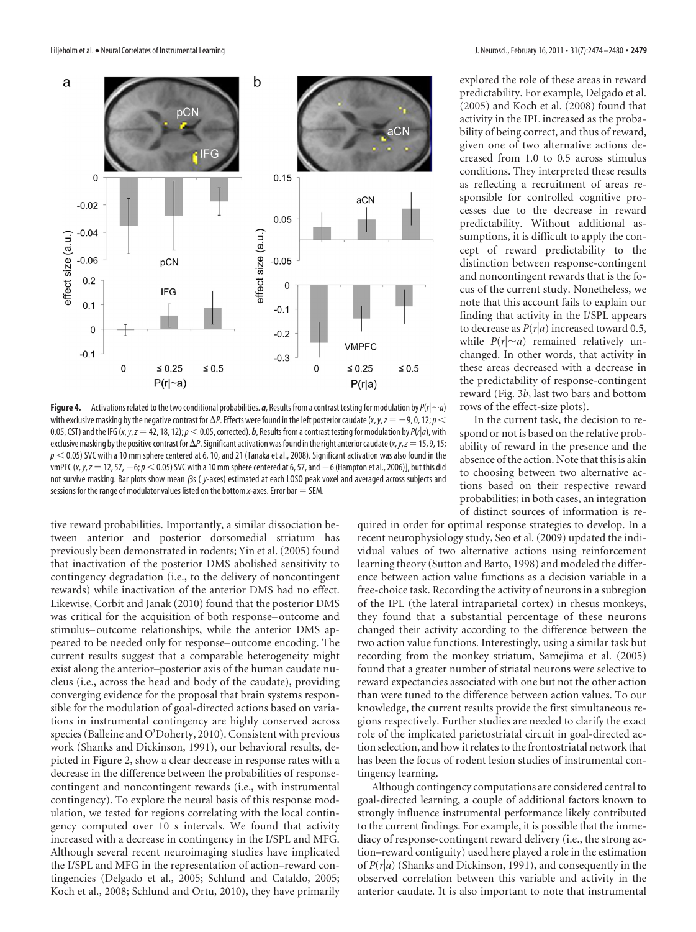

**Figure 4.** Activations related to the two conditional probabilities.  $a$ , Results from a contrast testing for modulation by  $P(r| \sim a)$ with exclusive masking by the negative contrast for  $\Delta P$ . Effects were found in the left posterior caudate (*x*, *y*, *z* = -9, 0, 12; *p* < 0.05, CST) and the IFG  $(x, y, z = 42, 18, 12)$ ;  $p < 0.05$ , corrected). *b*, Results from a contrast testing for modulation by  $P(r|a)$ , with exclusive masking by the positive contrast for  $\Delta P$ . Significant activation was found in the right anterior caudate (*x*, *y*, *z* = 15, 9, 15;  $p < 0.05$ ) SVC with a 10 mm sphere centered at 6, 10, and 21 (Tanaka et al., 2008). Significant activation was also found in the vmPFC  $(x, y, z = 12, 57, -6; p < 0.05)$  SVC with a 10 mm sphere centered at 6, 57, and  $-6$  (Hampton et al., 2006)], but this did not survive masking. Bar plots show mean  $\beta$ s (*y*-axes) estimated at each LOSO peak voxel and averaged across subjects and sessions for the range of modulator values listed on the bottom  $x$ -axes. Error bar  $=$  SEM.

tive reward probabilities. Importantly, a similar dissociation between anterior and posterior dorsomedial striatum has previously been demonstrated in rodents; Yin et al. (2005) found that inactivation of the posterior DMS abolished sensitivity to contingency degradation (i.e., to the delivery of noncontingent rewards) while inactivation of the anterior DMS had no effect. Likewise, Corbit and Janak (2010) found that the posterior DMS was critical for the acquisition of both response– outcome and stimulus– outcome relationships, while the anterior DMS appeared to be needed only for response– outcome encoding. The current results suggest that a comparable heterogeneity might exist along the anterior–posterior axis of the human caudate nucleus (i.e., across the head and body of the caudate), providing converging evidence for the proposal that brain systems responsible for the modulation of goal-directed actions based on variations in instrumental contingency are highly conserved across species (Balleine and O'Doherty, 2010). Consistent with previous work (Shanks and Dickinson, 1991), our behavioral results, depicted in Figure 2, show a clear decrease in response rates with a decrease in the difference between the probabilities of responsecontingent and noncontingent rewards (i.e., with instrumental contingency). To explore the neural basis of this response modulation, we tested for regions correlating with the local contingency computed over 10 s intervals. We found that activity increased with a decrease in contingency in the I/SPL and MFG. Although several recent neuroimaging studies have implicated the I/SPL and MFG in the representation of action–reward contingencies (Delgado et al., 2005; Schlund and Cataldo, 2005; Koch et al., 2008; Schlund and Ortu, 2010), they have primarily

explored the role of these areas in reward predictability. For example, Delgado et al. (2005) and Koch et al. (2008) found that activity in the IPL increased as the probability of being correct, and thus of reward, given one of two alternative actions decreased from 1.0 to 0.5 across stimulus conditions. They interpreted these results as reflecting a recruitment of areas responsible for controlled cognitive processes due to the decrease in reward predictability. Without additional assumptions, it is difficult to apply the concept of reward predictability to the distinction between response-contingent and noncontingent rewards that is the focus of the current study. Nonetheless, we note that this account fails to explain our finding that activity in the I/SPL appears to decrease as  $P(r|a)$  increased toward 0.5, while  $P(r|\sim a)$  remained relatively unchanged. In other words, that activity in these areas decreased with a decrease in the predictability of response-contingent reward (Fig. 3*b*, last two bars and bottom rows of the effect-size plots).

In the current task, the decision to respond or not is based on the relative probability of reward in the presence and the absence of the action. Note that this is akin to choosing between two alternative actions based on their respective reward probabilities; in both cases, an integration of distinct sources of information is re-

quired in order for optimal response strategies to develop. In a recent neurophysiology study, Seo et al. (2009) updated the individual values of two alternative actions using reinforcement learning theory (Sutton and Barto, 1998) and modeled the difference between action value functions as a decision variable in a free-choice task. Recording the activity of neurons in a subregion of the IPL (the lateral intraparietal cortex) in rhesus monkeys, they found that a substantial percentage of these neurons changed their activity according to the difference between the two action value functions. Interestingly, using a similar task but recording from the monkey striatum, Samejima et al. (2005) found that a greater number of striatal neurons were selective to reward expectancies associated with one but not the other action than were tuned to the difference between action values. To our knowledge, the current results provide the first simultaneous regions respectively. Further studies are needed to clarify the exact role of the implicated parietostriatal circuit in goal-directed action selection, and how it relates to the frontostriatal network that has been the focus of rodent lesion studies of instrumental contingency learning.

Although contingency computations are considered central to goal-directed learning, a couple of additional factors known to strongly influence instrumental performance likely contributed to the current findings. For example, it is possible that the immediacy of response-contingent reward delivery (i.e., the strong action–reward contiguity) used here played a role in the estimation of *P*(*ra*) (Shanks and Dickinson, 1991), and consequently in the observed correlation between this variable and activity in the anterior caudate. It is also important to note that instrumental